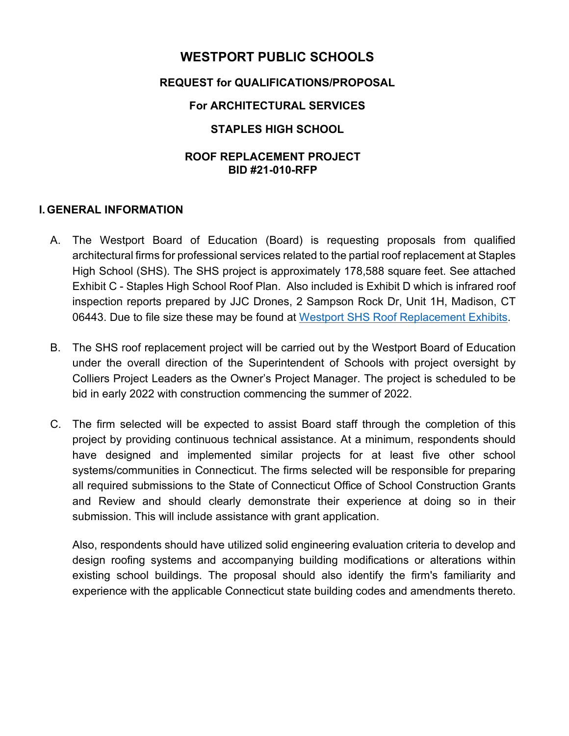# **WESTPORT PUBLIC SCHOOLS**

### **REQUEST for QUALIFICATIONS/PROPOSAL**

### **For ARCHITECTURAL SERVICES**

### **STAPLES HIGH SCHOOL**

#### **ROOF REPLACEMENT PROJECT BID #21-010-RFP**

#### **I. GENERAL INFORMATION**

- A. The Westport Board of Education (Board) is requesting proposals from qualified architectural firms for professional services related to the partial roof replacement at Staples High School (SHS). The SHS project is approximately 178,588 square feet. See attached Exhibit C - Staples High School Roof Plan. Also included is Exhibit D which is infrared roof inspection reports prepared by JJC Drones, 2 Sampson Rock Dr, Unit 1H, Madison, CT 06443. Due to file size these may be found at Westport SHS Roof Replacement Exhibits.
- B. The SHS roof replacement project will be carried out by the Westport Board of Education under the overall direction of the Superintendent of Schools with project oversight by Colliers Project Leaders as the Owner's Project Manager. The project is scheduled to be bid in early 2022 with construction commencing the summer of 2022.
- C. The firm selected will be expected to assist Board staff through the completion of this project by providing continuous technical assistance. At a minimum, respondents should have designed and implemented similar projects for at least five other school systems/communities in Connecticut. The firms selected will be responsible for preparing all required submissions to the State of Connecticut Office of School Construction Grants and Review and should clearly demonstrate their experience at doing so in their submission. This will include assistance with grant application.

Also, respondents should have utilized solid engineering evaluation criteria to develop and design roofing systems and accompanying building modifications or alterations within existing school buildings. The proposal should also identify the firm's familiarity and experience with the applicable Connecticut state building codes and amendments thereto.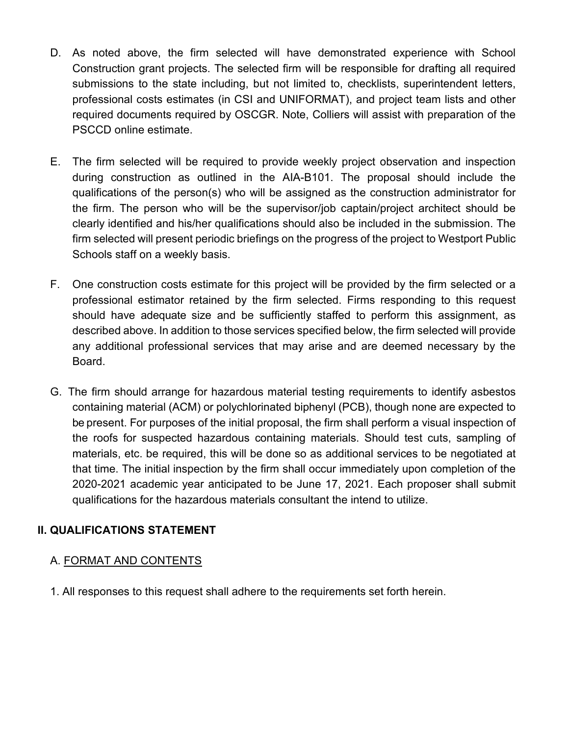- D. As noted above, the firm selected will have demonstrated experience with School Construction grant projects. The selected firm will be responsible for drafting all required submissions to the state including, but not limited to, checklists, superintendent letters, professional costs estimates (in CSI and UNIFORMAT), and project team lists and other required documents required by OSCGR. Note, Colliers will assist with preparation of the PSCCD online estimate.
- E. The firm selected will be required to provide weekly project observation and inspection during construction as outlined in the AIA-B101. The proposal should include the qualifications of the person(s) who will be assigned as the construction administrator for the firm. The person who will be the supervisor/job captain/project architect should be clearly identified and his/her qualifications should also be included in the submission. The firm selected will present periodic briefings on the progress of the project to Westport Public Schools staff on a weekly basis.
- F. One construction costs estimate for this project will be provided by the firm selected or a professional estimator retained by the firm selected. Firms responding to this request should have adequate size and be sufficiently staffed to perform this assignment, as described above. In addition to those services specified below, the firm selected will provide any additional professional services that may arise and are deemed necessary by the Board.
- G. The firm should arrange for hazardous material testing requirements to identify asbestos containing material (ACM) or polychlorinated biphenyl (PCB), though none are expected to be present. For purposes of the initial proposal, the firm shall perform a visual inspection of the roofs for suspected hazardous containing materials. Should test cuts, sampling of materials, etc. be required, this will be done so as additional services to be negotiated at that time. The initial inspection by the firm shall occur immediately upon completion of the 2020-2021 academic year anticipated to be June 17, 2021. Each proposer shall submit qualifications for the hazardous materials consultant the intend to utilize.

### **II. QUALIFICATIONS STATEMENT**

### A. FORMAT AND CONTENTS

1. All responses to this request shall adhere to the requirements set forth herein.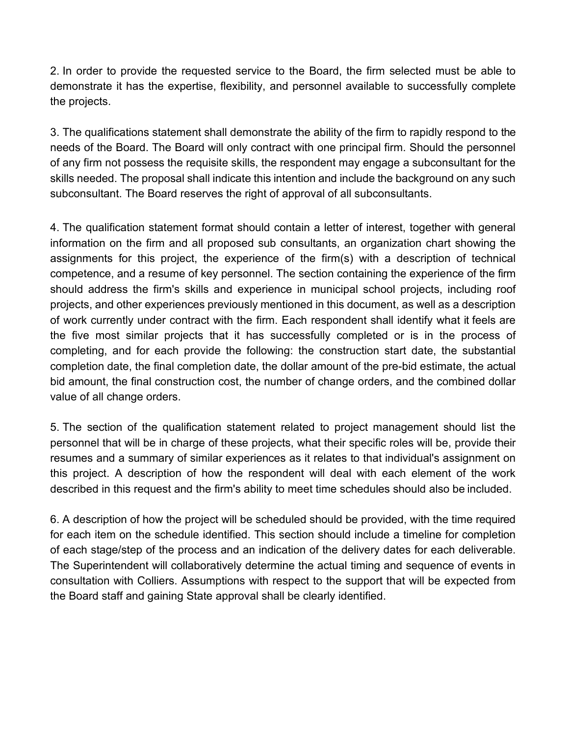2. In order to provide the requested service to the Board, the firm selected must be able to demonstrate it has the expertise, flexibility, and personnel available to successfully complete the projects.

3. The qualifications statement shall demonstrate the ability of the firm to rapidly respond to the needs of the Board. The Board will only contract with one principal firm. Should the personnel of any firm not possess the requisite skills, the respondent may engage a subconsultant for the skills needed. The proposal shall indicate this intention and include the background on any such subconsultant. The Board reserves the right of approval of all subconsultants.

4. The qualification statement format should contain a letter of interest, together with general information on the firm and all proposed sub consultants, an organization chart showing the assignments for this project, the experience of the firm(s) with a description of technical competence, and a resume of key personnel. The section containing the experience of the firm should address the firm's skills and experience in municipal school projects, including roof projects, and other experiences previously mentioned in this document, as well as a description of work currently under contract with the firm. Each respondent shall identify what it feels are the five most similar projects that it has successfully completed or is in the process of completing, and for each provide the following: the construction start date, the substantial completion date, the final completion date, the dollar amount of the pre-bid estimate, the actual bid amount, the final construction cost, the number of change orders, and the combined dollar value of all change orders.

5. The section of the qualification statement related to project management should list the personnel that will be in charge of these projects, what their specific roles will be, provide their resumes and a summary of similar experiences as it relates to that individual's assignment on this project. A description of how the respondent will deal with each element of the work described in this request and the firm's ability to meet time schedules should also be included.

6. A description of how the project will be scheduled should be provided, with the time required for each item on the schedule identified. This section should include a timeline for completion of each stage/step of the process and an indication of the delivery dates for each deliverable. The Superintendent will collaboratively determine the actual timing and sequence of events in consultation with Colliers. Assumptions with respect to the support that will be expected from the Board staff and gaining State approval shall be clearly identified.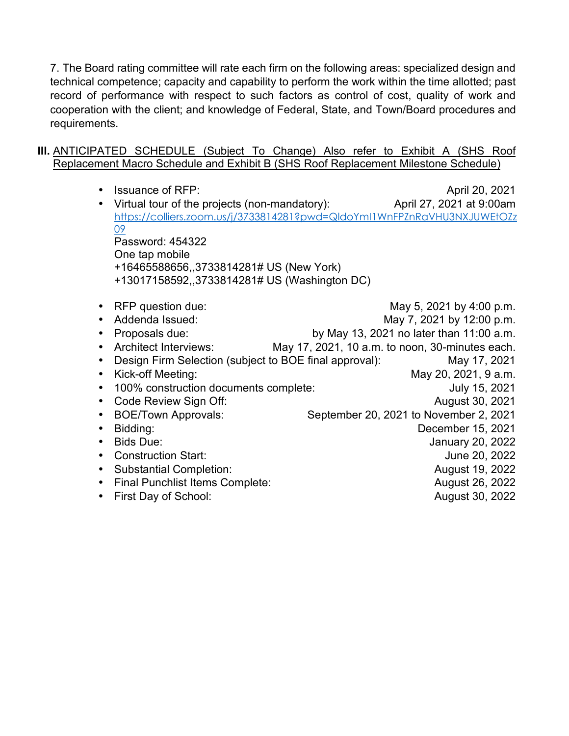7. The Board rating committee will rate each firm on the following areas: specialized design and technical competence; capacity and capability to perform the work within the time allotted; past record of performance with respect to such factors as control of cost, quality of work and cooperation with the client; and knowledge of Federal, State, and Town/Board procedures and requirements.

#### **III.** ANTICIPATED SCHEDULE (Subject To Change) Also refer to Exhibit A (SHS Roof Replacement Macro Schedule and Exhibit B (SHS Roof Replacement Milestone Schedule)

| <b>Issuance of RFP:</b>                                | April 20, 2021                                                           |
|--------------------------------------------------------|--------------------------------------------------------------------------|
| Virtual tour of the projects (non-mandatory):          | April 27, 2021 at 9:00am                                                 |
|                                                        | https://colliers.zoom.us/j/3733814281?pwd=QldoYml1WnFPZnRaVHU3NXJUWEtOZz |
| 09                                                     |                                                                          |
| Password: 454322                                       |                                                                          |
| One tap mobile                                         |                                                                          |
| +16465588656,,3733814281# US (New York)                |                                                                          |
| +13017158592,,3733814281# US (Washington DC)           |                                                                          |
|                                                        |                                                                          |
| RFP question due:                                      | May 5, 2021 by 4:00 p.m.                                                 |
| Addenda Issued:                                        | May 7, 2021 by 12:00 p.m.                                                |
| Proposals due:                                         | by May 13, 2021 no later than 11:00 a.m.                                 |
| <b>Architect Interviews:</b>                           | May 17, 2021, 10 a.m. to noon, 30-minutes each.                          |
| Design Firm Selection (subject to BOE final approval): | May 17, 2021                                                             |
| Kick-off Meeting:                                      | May 20, 2021, 9 a.m.                                                     |
| 100% construction documents complete:                  | July 15, 2021                                                            |
| Code Review Sign Off:                                  | August 30, 2021                                                          |
| <b>BOE/Town Approvals:</b>                             | September 20, 2021 to November 2, 2021                                   |
| Bidding:                                               | December 15, 2021                                                        |
| <b>Bids Due:</b>                                       | January 20, 2022                                                         |
| <b>Construction Start:</b>                             | June 20, 2022                                                            |
| <b>Substantial Completion:</b>                         | August 19, 2022                                                          |
| <b>Final Punchlist Items Complete:</b>                 | August 26, 2022                                                          |
| First Day of School:                                   | August 30, 2022                                                          |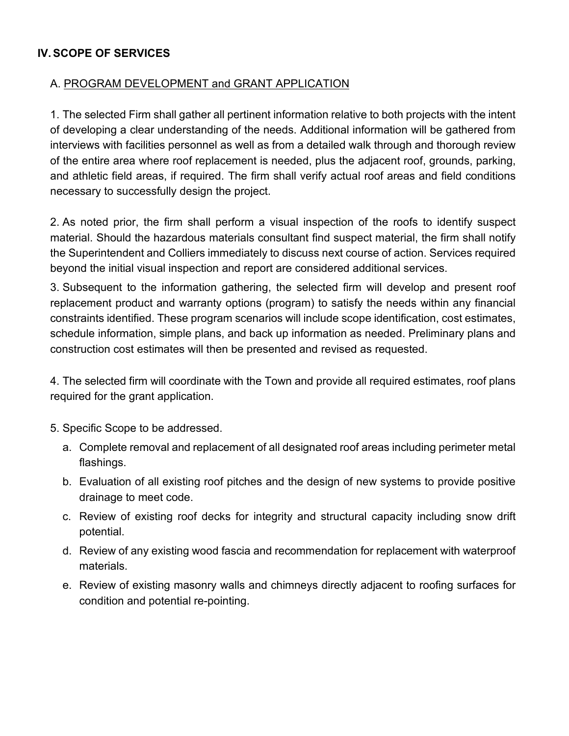## **IV. SCOPE OF SERVICES**

## A. PROGRAM DEVELOPMENT and GRANT APPLICATION

1. The selected Firm shall gather all pertinent information relative to both projects with the intent of developing a clear understanding of the needs. Additional information will be gathered from interviews with facilities personnel as well as from a detailed walk through and thorough review of the entire area where roof replacement is needed, plus the adjacent roof, grounds, parking, and athletic field areas, if required. The firm shall verify actual roof areas and field conditions necessary to successfully design the project.

2. As noted prior, the firm shall perform a visual inspection of the roofs to identify suspect material. Should the hazardous materials consultant find suspect material, the firm shall notify the Superintendent and Colliers immediately to discuss next course of action. Services required beyond the initial visual inspection and report are considered additional services.

3. Subsequent to the information gathering, the selected firm will develop and present roof replacement product and warranty options (program) to satisfy the needs within any financial constraints identified. These program scenarios will include scope identification, cost estimates, schedule information, simple plans, and back up information as needed. Preliminary plans and construction cost estimates will then be presented and revised as requested.

4. The selected firm will coordinate with the Town and provide all required estimates, roof plans required for the grant application.

5. Specific Scope to be addressed.

- a. Complete removal and replacement of all designated roof areas including perimeter metal flashings.
- b. Evaluation of all existing roof pitches and the design of new systems to provide positive drainage to meet code.
- c. Review of existing roof decks for integrity and structural capacity including snow drift potential.
- d. Review of any existing wood fascia and recommendation for replacement with waterproof materials.
- e. Review of existing masonry walls and chimneys directly adjacent to roofing surfaces for condition and potential re-pointing.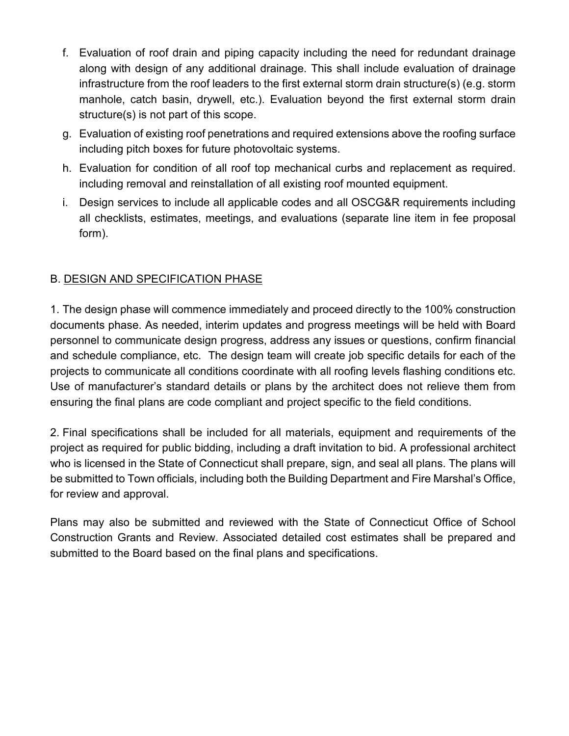- f. Evaluation of roof drain and piping capacity including the need for redundant drainage along with design of any additional drainage. This shall include evaluation of drainage infrastructure from the roof leaders to the first external storm drain structure(s) (e.g. storm manhole, catch basin, drywell, etc.). Evaluation beyond the first external storm drain structure(s) is not part of this scope.
- g. Evaluation of existing roof penetrations and required extensions above the roofing surface including pitch boxes for future photovoltaic systems.
- h. Evaluation for condition of all roof top mechanical curbs and replacement as required. including removal and reinstallation of all existing roof mounted equipment.
- i. Design services to include all applicable codes and all OSCG&R requirements including all checklists, estimates, meetings, and evaluations (separate line item in fee proposal form).

## B. DESIGN AND SPECIFICATION PHASE

1. The design phase will commence immediately and proceed directly to the 100% construction documents phase. As needed, interim updates and progress meetings will be held with Board personnel to communicate design progress, address any issues or questions, confirm financial and schedule compliance, etc. The design team will create job specific details for each of the projects to communicate all conditions coordinate with all roofing levels flashing conditions etc. Use of manufacturer's standard details or plans by the architect does not relieve them from ensuring the final plans are code compliant and project specific to the field conditions.

2. Final specifications shall be included for all materials, equipment and requirements of the project as required for public bidding, including a draft invitation to bid. A professional architect who is licensed in the State of Connecticut shall prepare, sign, and seal all plans. The plans will be submitted to Town officials, including both the Building Department and Fire Marshal's Office, for review and approval.

Plans may also be submitted and reviewed with the State of Connecticut Office of School Construction Grants and Review. Associated detailed cost estimates shall be prepared and submitted to the Board based on the final plans and specifications.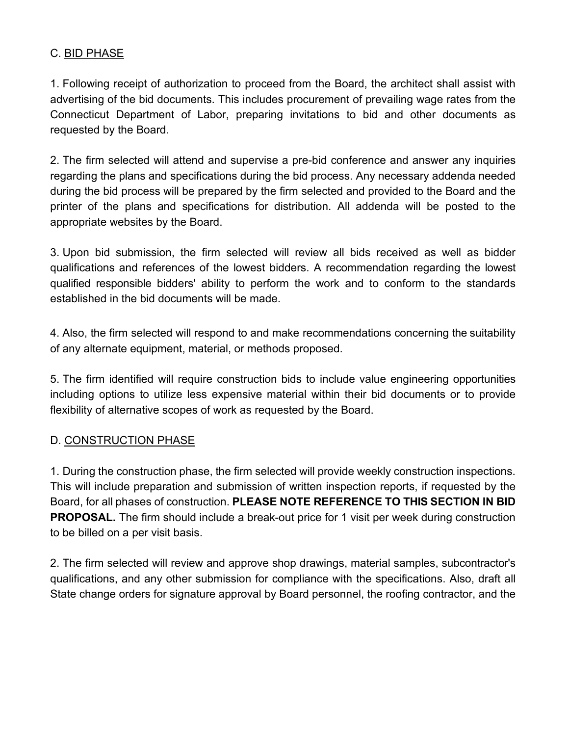## C. BID PHASE

1. Following receipt of authorization to proceed from the Board, the architect shall assist with advertising of the bid documents. This includes procurement of prevailing wage rates from the Connecticut Department of Labor, preparing invitations to bid and other documents as requested by the Board.

2. The firm selected will attend and supervise a pre-bid conference and answer any inquiries regarding the plans and specifications during the bid process. Any necessary addenda needed during the bid process will be prepared by the firm selected and provided to the Board and the printer of the plans and specifications for distribution. All addenda will be posted to the appropriate websites by the Board.

3. Upon bid submission, the firm selected will review all bids received as well as bidder qualifications and references of the lowest bidders. A recommendation regarding the lowest qualified responsible bidders' ability to perform the work and to conform to the standards established in the bid documents will be made.

4. Also, the firm selected will respond to and make recommendations concerning the suitability of any alternate equipment, material, or methods proposed.

5. The firm identified will require construction bids to include value engineering opportunities including options to utilize less expensive material within their bid documents or to provide flexibility of alternative scopes of work as requested by the Board.

## D. CONSTRUCTION PHASE

1. During the construction phase, the firm selected will provide weekly construction inspections. This will include preparation and submission of written inspection reports, if requested by the Board, for all phases of construction. **PLEASE NOTE REFERENCE TO THIS SECTION IN BID PROPOSAL.** The firm should include a break-out price for 1 visit per week during construction to be billed on a per visit basis.

2. The firm selected will review and approve shop drawings, material samples, subcontractor's qualifications, and any other submission for compliance with the specifications. Also, draft all State change orders for signature approval by Board personnel, the roofing contractor, and the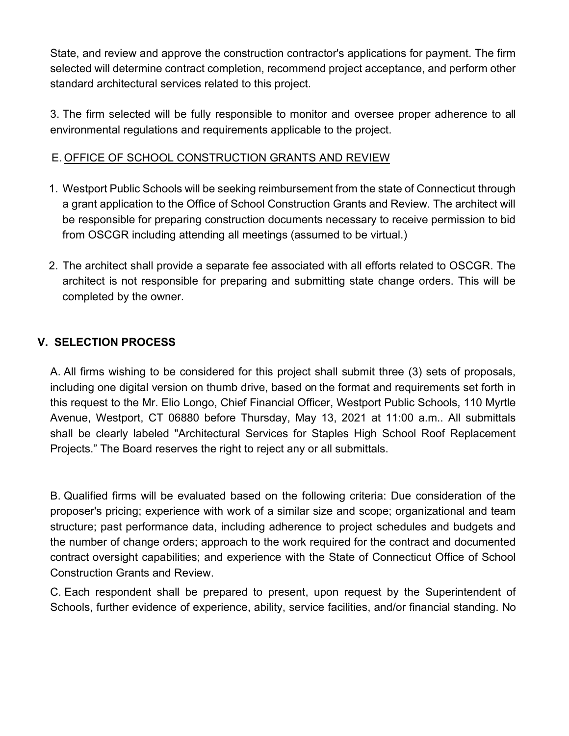State, and review and approve the construction contractor's applications for payment. The firm selected will determine contract completion, recommend project acceptance, and perform other standard architectural services related to this project.

3. The firm selected will be fully responsible to monitor and oversee proper adherence to all environmental regulations and requirements applicable to the project.

## E. OFFICE OF SCHOOL CONSTRUCTION GRANTS AND REVIEW

- 1. Westport Public Schools will be seeking reimbursement from the state of Connecticut through a grant application to the Office of School Construction Grants and Review. The architect will be responsible for preparing construction documents necessary to receive permission to bid from OSCGR including attending all meetings (assumed to be virtual.)
- 2. The architect shall provide a separate fee associated with all efforts related to OSCGR. The architect is not responsible for preparing and submitting state change orders. This will be completed by the owner.

## **V. SELECTION PROCESS**

A. All firms wishing to be considered for this project shall submit three (3) sets of proposals, including one digital version on thumb drive, based on the format and requirements set forth in this request to the Mr. Elio Longo, Chief Financial Officer, Westport Public Schools, 110 Myrtle Avenue, Westport, CT 06880 before Thursday, May 13, 2021 at 11:00 a.m.. All submittals shall be clearly labeled "Architectural Services for Staples High School Roof Replacement Projects." The Board reserves the right to reject any or all submittals.

B. Qualified firms will be evaluated based on the following criteria: Due consideration of the proposer's pricing; experience with work of a similar size and scope; organizational and team structure; past performance data, including adherence to project schedules and budgets and the number of change orders; approach to the work required for the contract and documented contract oversight capabilities; and experience with the State of Connecticut Office of School Construction Grants and Review.

C. Each respondent shall be prepared to present, upon request by the Superintendent of Schools, further evidence of experience, ability, service facilities, and/or financial standing. No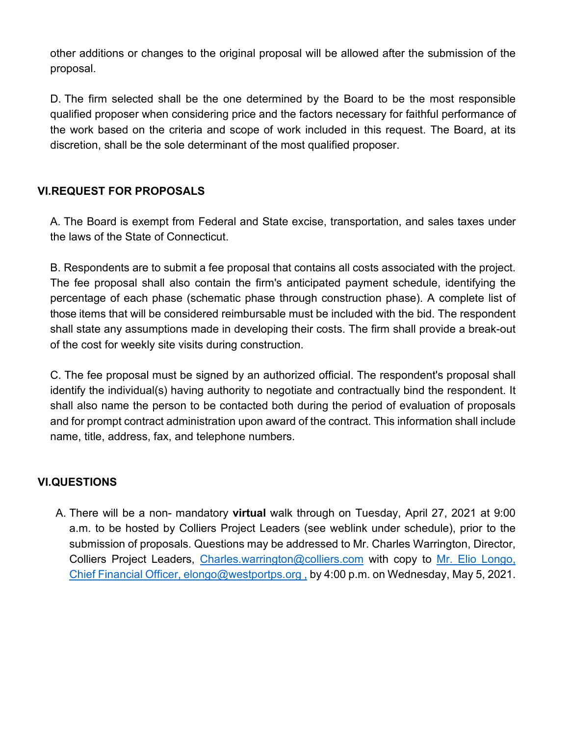other additions or changes to the original proposal will be allowed after the submission of the proposal.

D. The firm selected shall be the one determined by the Board to be the most responsible qualified proposer when considering price and the factors necessary for faithful performance of the work based on the criteria and scope of work included in this request. The Board, at its discretion, shall be the sole determinant of the most qualified proposer.

## **VI. REQUEST FOR PROPOSALS**

A. The Board is exempt from Federal and State excise, transportation, and sales taxes under the laws of the State of Connecticut.

B. Respondents are to submit a fee proposal that contains all costs associated with the project. The fee proposal shall also contain the firm's anticipated payment schedule, identifying the percentage of each phase (schematic phase through construction phase). A complete list of those items that will be considered reimbursable must be included with the bid. The respondent shall state any assumptions made in developing their costs. The firm shall provide a break-out of the cost for weekly site visits during construction.

C. The fee proposal must be signed by an authorized official. The respondent's proposal shall identify the individual(s) having authority to negotiate and contractually bind the respondent. It shall also name the person to be contacted both during the period of evaluation of proposals and for prompt contract administration upon award of the contract. This information shall include name, title, address, fax, and telephone numbers.

## **VI.QUESTIONS**

A. There will be a non- mandatory **virtual** walk through on Tuesday, April 27, 2021 at 9:00 a.m. to be hosted by Colliers Project Leaders (see weblink under schedule), prior to the submission of proposals. Questions may be addressed to Mr. Charles Warrington, Director, Colliers Project Leaders, Charles.warrington@colliers.com with copy to Mr. Elio Longo, Chief Financial Officer, elongo@westportps.org , by 4:00 p.m. on Wednesday, May 5, 2021.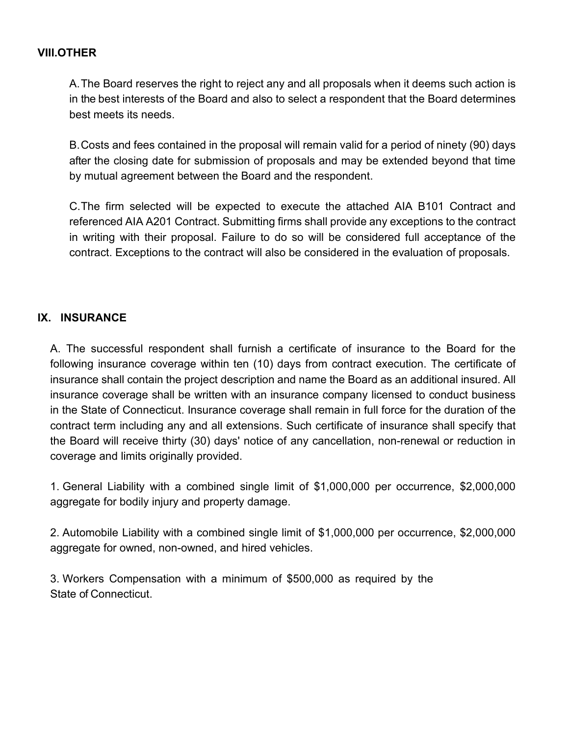### **VIII.OTHER**

A. The Board reserves the right to reject any and all proposals when it deems such action is in the best interests of the Board and also to select a respondent that the Board determines best meets its needs.

B. Costs and fees contained in the proposal will remain valid for a period of ninety (90) days after the closing date for submission of proposals and may be extended beyond that time by mutual agreement between the Board and the respondent.

C. The firm selected will be expected to execute the attached AIA B101 Contract and referenced AIA A201 Contract. Submitting firms shall provide any exceptions to the contract in writing with their proposal. Failure to do so will be considered full acceptance of the contract. Exceptions to the contract will also be considered in the evaluation of proposals.

## **IX. INSURANCE**

A. The successful respondent shall furnish a certificate of insurance to the Board for the following insurance coverage within ten (10) days from contract execution. The certificate of insurance shall contain the project description and name the Board as an additional insured. All insurance coverage shall be written with an insurance company licensed to conduct business in the State of Connecticut. Insurance coverage shall remain in full force for the duration of the contract term including any and all extensions. Such certificate of insurance shall specify that the Board will receive thirty (30) days' notice of any cancellation, non-renewal or reduction in coverage and limits originally provided.

1. General Liability with a combined single limit of \$1,000,000 per occurrence, \$2,000,000 aggregate for bodily injury and property damage.

2. Automobile Liability with a combined single limit of \$1,000,000 per occurrence, \$2,000,000 aggregate for owned, non-owned, and hired vehicles.

3. Workers Compensation with a minimum of \$500,000 as required by the State of Connecticut.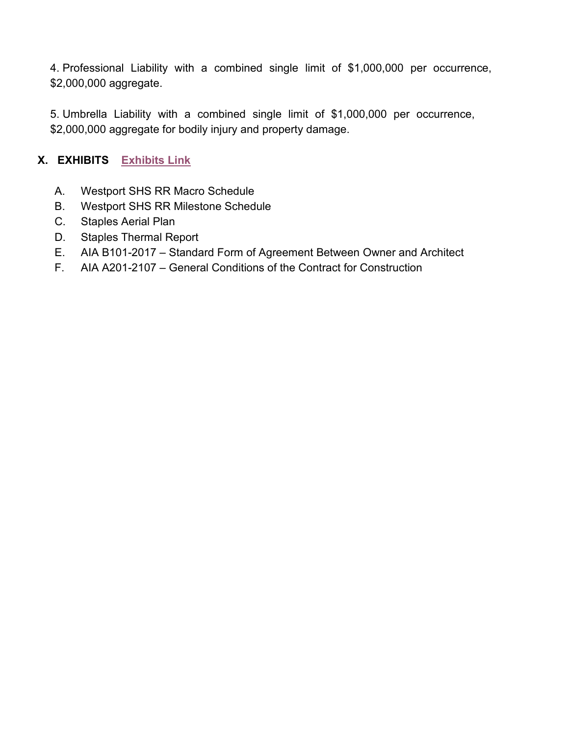4. Professional Liability with a combined single limit of \$1,000,000 per occurrence, \$2,000,000 aggregate.

5. Umbrella Liability with a combined single limit of \$1,000,000 per occurrence, \$2,000,000 aggregate for bodily injury and property damage.

## **X. EXHIBITS Exhibits Link**

- A. Westport SHS RR Macro Schedule
- B. Westport SHS RR Milestone Schedule
- C. Staples Aerial Plan
- D. Staples Thermal Report
- E. AIA B101-2017 Standard Form of Agreement Between Owner and Architect
- F. AIA A201-2107 General Conditions of the Contract for Construction